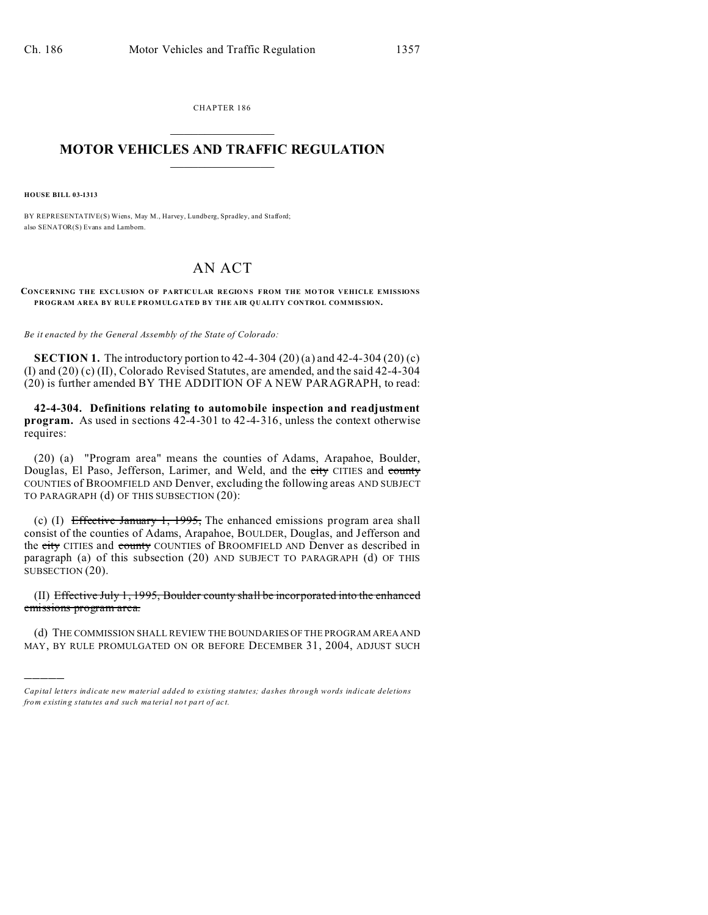CHAPTER 186  $\overline{\phantom{a}}$  , where  $\overline{\phantom{a}}$ 

## **MOTOR VEHICLES AND TRAFFIC REGULATION**  $\frac{1}{2}$  ,  $\frac{1}{2}$  ,  $\frac{1}{2}$  ,  $\frac{1}{2}$  ,  $\frac{1}{2}$  ,  $\frac{1}{2}$  ,  $\frac{1}{2}$

**HOUSE BILL 03-1313**

)))))

BY REPRESENTATIVE(S) Wiens, May M., Harvey, Lundberg, Spradley, and Stafford; also SENATOR(S) Evans and Lamborn.

## AN ACT

CONCERNING THE EXCLUSION OF PARTICULAR REGIONS FROM THE MOTOR VEHICLE EMISSIONS **PROGRAM AREA BY RULE PROMULGATED BY THE AIR QUALITY CONTROL COMMISSION.**

*Be it enacted by the General Assembly of the State of Colorado:*

**SECTION 1.** The introductory portion to 42-4-304 (20) (a) and 42-4-304 (20) (c) (I) and (20) (c) (II), Colorado Revised Statutes, are amended, and the said 42-4-304 (20) is further amended BY THE ADDITION OF A NEW PARAGRAPH, to read:

**42-4-304. Definitions relating to automobile inspection and readjustment program.** As used in sections 42-4-301 to 42-4-316, unless the context otherwise requires:

(20) (a) "Program area" means the counties of Adams, Arapahoe, Boulder, Douglas, El Paso, Jefferson, Larimer, and Weld, and the city CITIES and county COUNTIES of BROOMFIELD AND Denver, excluding the following areas AND SUBJECT TO PARAGRAPH (d) OF THIS SUBSECTION (20):

(c) (I) Effective January 1, 1995, The enhanced emissions program area shall consist of the counties of Adams, Arapahoe, BOULDER, Douglas, and Jefferson and the city CITIES and county COUNTIES of BROOMFIELD AND Denver as described in paragraph (a) of this subsection (20) AND SUBJECT TO PARAGRAPH (d) OF THIS SUBSECTION (20).

(II) Effective July 1, 1995, Boulder county shall be incorporated into the enhanced emissions program area.

(d) THE COMMISSION SHALL REVIEW THE BOUNDARIES OF THE PROGRAM AREA AND MAY, BY RULE PROMULGATED ON OR BEFORE DECEMBER 31, 2004, ADJUST SUCH

*Capital letters indicate new material added to existing statutes; dashes through words indicate deletions from e xistin g statu tes a nd such ma teria l no t pa rt of ac t.*